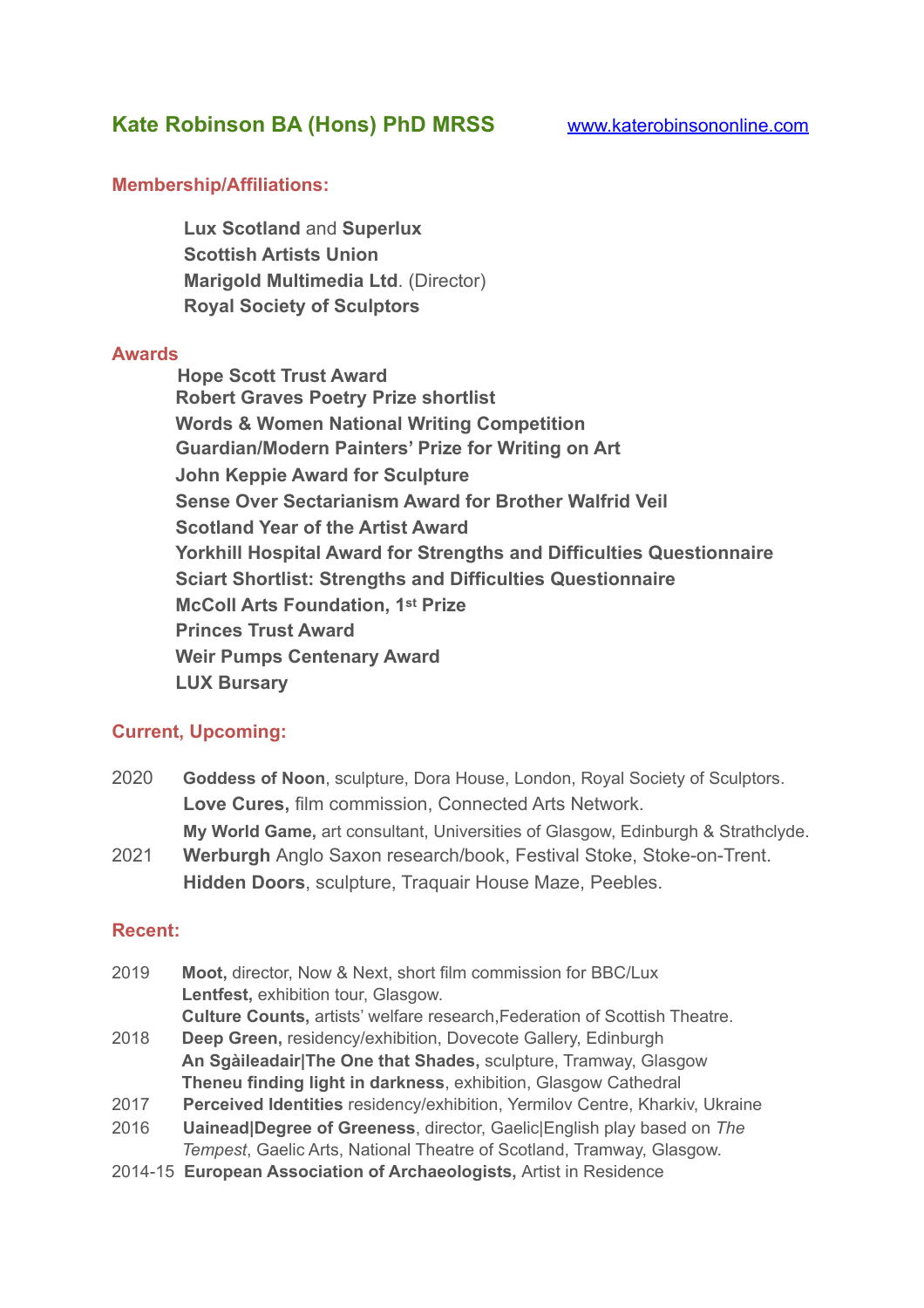# **Kate Robinson BA (Hons) PhD MRSS** [www.katerobinsononline.com](http://www.katerobinsononline.com)

#### **Membership/Affiliations:**

 **Lux Scotland** and **Superlux Scottish Artists Union Marigold Multimedia Ltd**. (Director) **Royal Society of Sculptors** 

#### **Awards**

 **Hope Scott Trust Award Robert Graves Poetry Prize shortlist Words & Women National Writing Competition Guardian/Modern Painters' Prize for Writing on Art John Keppie Award for Sculpture Sense Over Sectarianism Award for Brother Walfrid Veil Scotland Year of the Artist Award Yorkhill Hospital Award for Strengths and Difficulties Questionnaire Sciart Shortlist: Strengths and Difficulties Questionnaire McColl Arts Foundation, 1st Prize Princes Trust Award Weir Pumps Centenary Award LUX Bursary** 

## **Current, Upcoming:**

- 2020 **Goddess of Noon**, sculpture, Dora House, London, Royal Society of Sculptors. **Love Cures,** film commission, Connected Arts Network. **My World Game,** art consultant, Universities of Glasgow, Edinburgh & Strathclyde.
- 2021 **Werburgh** Anglo Saxon research/book, Festival Stoke, Stoke-on-Trent. **Hidden Doors**, sculpture, Traquair House Maze, Peebles.

## **Recent:**

- 2019 **Moot,** director, Now & Next, short film commission for BBC/Lux **Lentfest,** exhibition tour, Glasgow. **Culture Counts,** artists' welfare research,Federation of Scottish Theatre.
- 2018 **Deep Green,** residency/exhibition, Dovecote Gallery, Edinburgh **An Sgàileadair|The One that Shades,** sculpture, Tramway, Glasgow **Theneu finding light in darkness**, exhibition, Glasgow Cathedral
- 2017 **Perceived Identities** residency/exhibition, Yermilov Centre, Kharkiv, Ukraine
- 2016 **Uainead|Degree of Greeness**, director, Gaelic|English play based on *The Tempest*, Gaelic Arts, National Theatre of Scotland, Tramway, Glasgow.
- 2014-15 **European Association of Archaeologists,** Artist in Residence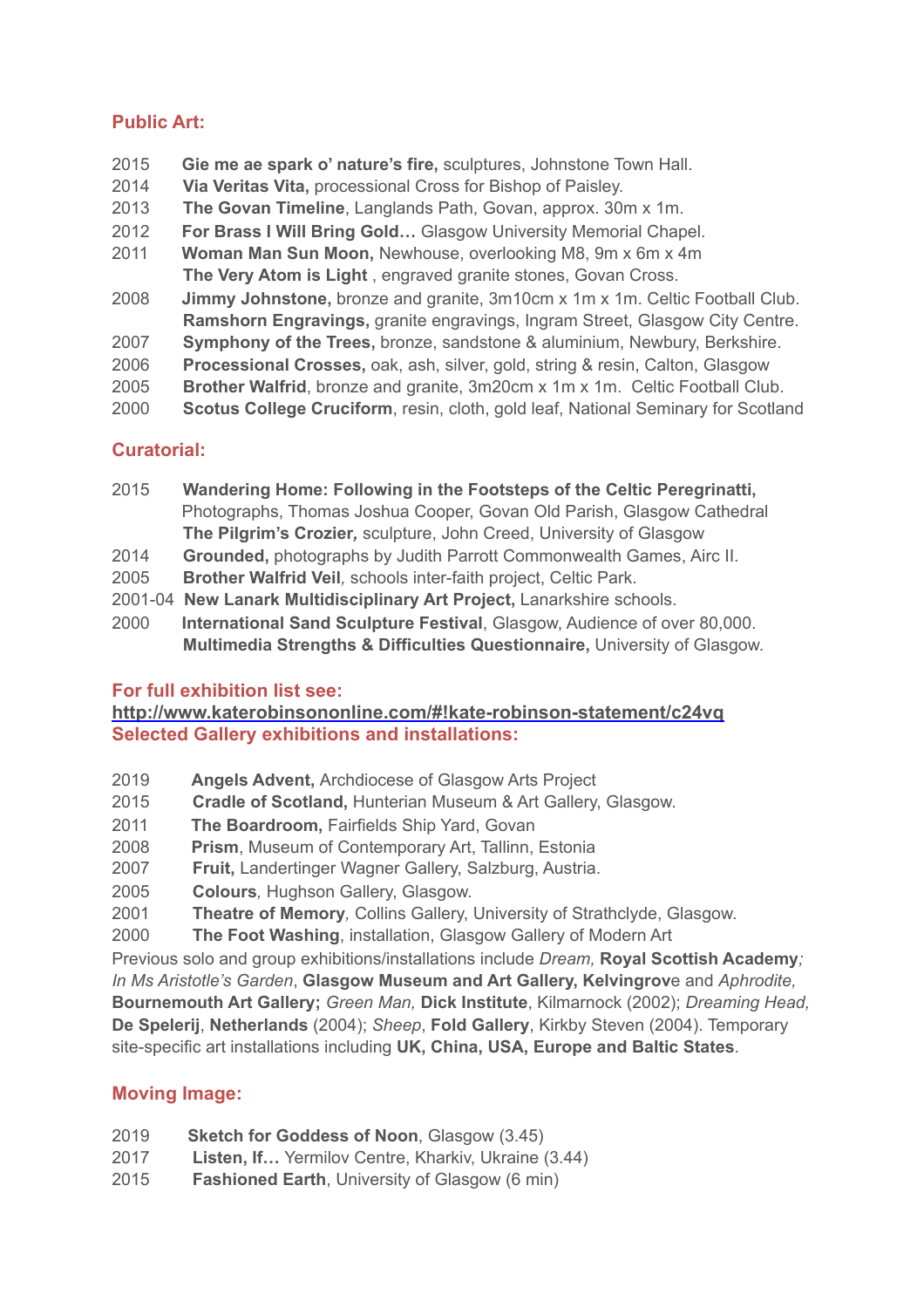# **Public Art:**

- 2015 **Gie me ae spark o' nature's fire,** sculptures, Johnstone Town Hall.
- 2014 **Via Veritas Vita,** processional Cross for Bishop of Paisley.
- 2013 **The Govan Timeline**, Langlands Path, Govan, approx. 30m x 1m.
- 2012 **For Brass I Will Bring Gold…** Glasgow University Memorial Chapel.
- 2011 **Woman Man Sun Moon,** Newhouse, overlooking M8, 9m x 6m x 4m **The Very Atom is Light** , engraved granite stones, Govan Cross.
- 2008 **Jimmy Johnstone,** bronze and granite, 3m10cm x 1m x 1m. Celtic Football Club. **Ramshorn Engravings,** granite engravings, Ingram Street, Glasgow City Centre.
- 2007 **Symphony of the Trees,** bronze, sandstone & aluminium, Newbury, Berkshire.
- 2006 **Processional Crosses,** oak, ash, silver, gold, string & resin, Calton, Glasgow
- 2005 **Brother Walfrid**, bronze and granite, 3m20cm x 1m x 1m. Celtic Football Club.
- 2000 **Scotus College Cruciform**, resin, cloth, gold leaf, National Seminary for Scotland

## **Curatorial:**

- 2015 **Wandering Home: Following in the Footsteps of the Celtic Peregrinatti,**  Photographs, Thomas Joshua Cooper, Govan Old Parish, Glasgow Cathedral **The Pilgrim's Crozier***,* sculpture, John Creed, University of Glasgow
- 2014 **Grounded,** photographs by Judith Parrott Commonwealth Games, Airc II.
- 2005 **Brother Walfrid Veil***,* schools inter-faith project, Celtic Park.
- 2001-04 **New Lanark Multidisciplinary Art Project,** Lanarkshire schools.
- 2000 **International Sand Sculpture Festival**, Glasgow, Audience of over 80,000. **Multimedia Strengths & Difficulties Questionnaire,** University of Glasgow.

## **For full exhibition list see:**

## **[http://www.katerobinsononline.com/#!kate-robinson-statement/c24vq](http://www.katerobinsononline.com/%2523!kate-robinson-statement/c24vq) Selected Gallery exhibitions and installations:**

- 2019 **Angels Advent,** Archdiocese of Glasgow Arts Project
- 2015 **Cradle of Scotland,** Hunterian Museum & Art Gallery, Glasgow.
- 2011 **The Boardroom,** Fairfields Ship Yard, Govan
- 2008 **Prism**, Museum of Contemporary Art, Tallinn, Estonia
- 2007 **Fruit,** Landertinger Wagner Gallery, Salzburg, Austria.
- 2005 **Colours***,* Hughson Gallery, Glasgow.
- 2001 **Theatre of Memory***,* Collins Gallery, University of Strathclyde, Glasgow.
- 2000 **The Foot Washing**, installation, Glasgow Gallery of Modern Art

Previous solo and group exhibitions/installations include *Dream,* **Royal Scottish Academy***; In Ms Aristotle's Garden*, **Glasgow Museum and Art Gallery, Kelvingrov**e and *Aphrodite,*  **Bournemouth Art Gallery;** *Green Man,* **Dick Institute**, Kilmarnock (2002); *Dreaming Head,*  **De Spelerij**, **Netherlands** (2004); *Sheep*, **Fold Gallery**, Kirkby Steven (2004). Temporary site-specific art installations including **UK, China, USA, Europe and Baltic States**.

## **Moving Image:**

- 2019 **Sketch for Goddess of Noon**, Glasgow (3.45)
- 2017 **Listen, If…** Yermilov Centre, Kharkiv, Ukraine (3.44)
- 2015 **Fashioned Earth**, University of Glasgow (6 min)